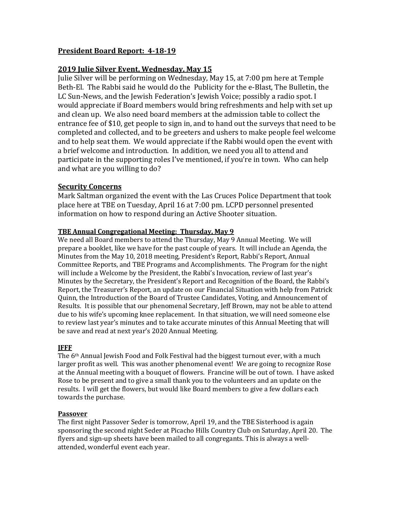# **President Board Report: 4-18-19**

# **2019 Julie Silver Event, Wednesday, May 15**

Julie Silver will be performing on Wednesday, May 15, at 7:00 pm here at Temple Beth-El. The Rabbi said he would do the Publicity for the e-Blast, The Bulletin, the LC Sun-News, and the Jewish Federation's Jewish Voice; possibly a radio spot. I would appreciate if Board members would bring refreshments and help with set up and clean up. We also need board members at the admission table to collect the entrance fee of \$10, get people to sign in, and to hand out the surveys that need to be completed and collected, and to be greeters and ushers to make people feel welcome and to help seat them. We would appreciate if the Rabbi would open the event with a brief welcome and introduction. In addition, we need you all to attend and participate in the supporting roles I've mentioned, if you're in town. Who can help and what are you willing to do?

### **Security Concerns**

Mark Saltman organized the event with the Las Cruces Police Department that took place here at TBE on Tuesday, April 16 at 7:00 pm. LCPD personnel presented information on how to respond during an Active Shooter situation.

#### **TBE Annual Congregational Meeting: Thursday, May 9**

We need all Board members to attend the Thursday, May 9 Annual Meeting. We will prepare a booklet, like we have for the past couple of years. It will include an Agenda, the Minutes from the May 10, 2018 meeting, President's Report, Rabbi's Report, Annual Committee Reports, and TBE Programs and Accomplishments. The Program for the night will include a Welcome by the President, the Rabbi's Invocation, review of last year's Minutes by the Secretary, the President's Report and Recognition of the Board, the Rabbi's Report, the Treasurer's Report, an update on our Financial Situation with help from Patrick Quinn, the Introduction of the Board of Trustee Candidates, Voting, and Announcement of Results. It is possible that our phenomenal Secretary, Jeff Brown, may not be able to attend due to his wife's upcoming knee replacement. In that situation, we will need someone else to review last year's minutes and to take accurate minutes of this Annual Meeting that will be save and read at next year's 2020 Annual Meeting.

#### **JFFF**

The 6<sup>th</sup> Annual Jewish Food and Folk Festival had the biggest turnout ever, with a much larger profit as well. This was another phenomenal event! We are going to recognize Rose at the Annual meeting with a bouquet of flowers. Francine will be out of town. I have asked Rose to be present and to give a small thank you to the volunteers and an update on the results. I will get the flowers, but would like Board members to give a few dollars each towards the purchase.

#### **Passover**

The first night Passover Seder is tomorrow, April 19, and the TBE Sisterhood is again sponsoring the second night Seder at Picacho Hills Country Club on Saturday, April 20. The flyers and sign-up sheets have been mailed to all congregants. This is always a wellattended, wonderful event each year.